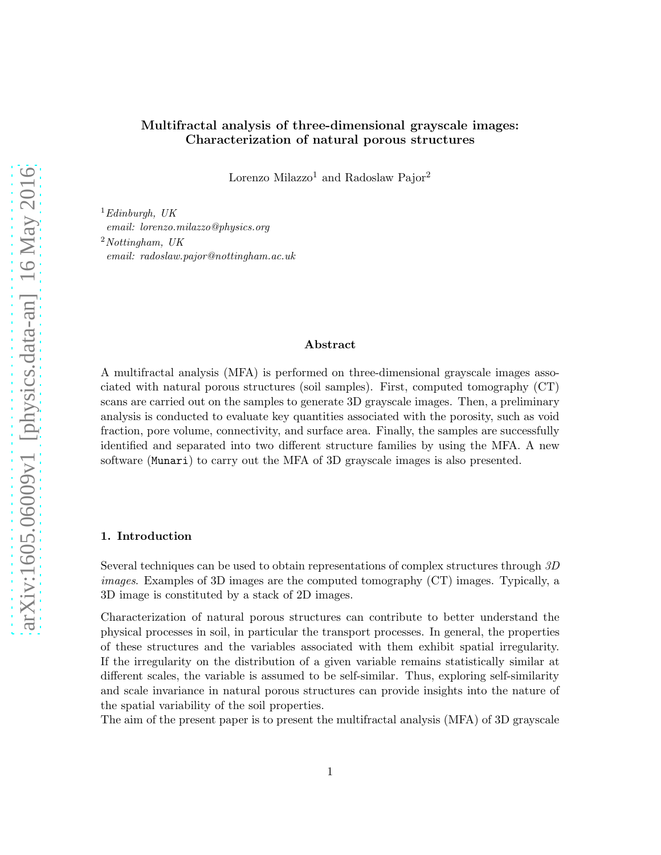Lorenzo Milazzo<br/> $^1$  and Radoslaw Pajor $^2$ 

<sup>1</sup>*Edinburgh, UK email: lorenzo.milazzo@physics.org* <sup>2</sup>*Nottingham, UK email: radoslaw.pajor@nottingham.ac.uk*

# Abstract

A multifractal analysis (MFA) is performed on three-dimensional grayscale images associated with natural porous structures (soil samples). First, computed tomography (CT) scans are carried out on the samples to generate 3D grayscale images. Then, a preliminary analysis is conducted to evaluate key quantities associated with the porosity, such as void fraction, pore volume, connectivity, and surface area. Finally, the samples are successfully identified and separated into two different structure families by using the MFA. A new software (Munari) to carry out the MFA of 3D grayscale images is also presented.

# 1. Introduction

Several techniques can be used to obtain representations of complex structures through *3D images*. Examples of 3D images are the computed tomography (CT) images. Typically, a 3D image is constituted by a stack of 2D images.

Characterization of natural porous structures can contribute to better understand the physical processes in soil, in particular the transport processes. In general, the properties of these structures and the variables associated with them exhibit spatial irregularity. If the irregularity on the distribution of a given variable remains statistically similar at different scales, the variable is assumed to be self-similar. Thus, exploring self-similarity and scale invariance in natural porous structures can provide insights into the nature of the spatial variability of the soil properties.

The aim of the present paper is to present the multifractal analysis (MFA) of 3D grayscale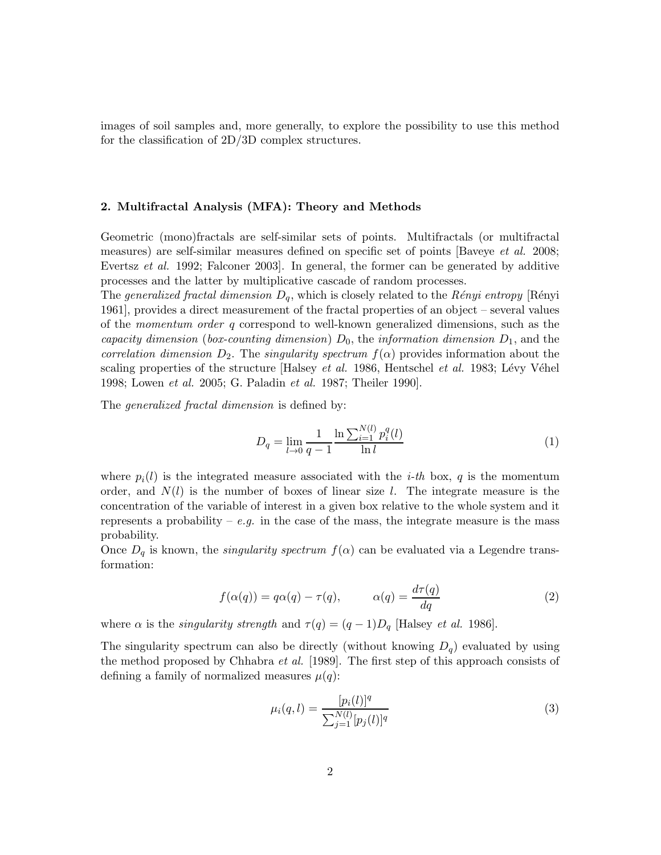images of soil samples and, more generally, to explore the possibility to use this method for the classification of 2D/3D complex structures.

### 2. Multifractal Analysis (MFA): Theory and Methods

Geometric (mono)fractals are self-similar sets of points. Multifractals (or multifractal measures) are self-similar measures defined on specific set of points [Baveye *et al.* 2008; Evertsz *et al.* 1992; Falconer 2003]. In general, the former can be generated by additive processes and the latter by multiplicative cascade of random processes.

The *generalized fractal dimension*  $D_q$ , which is closely related to the *Rényi entropy* [Rényi 1961], provides a direct measurement of the fractal properties of an object – several values of the *momentum order* q correspond to well-known generalized dimensions, such as the *capacity dimension* (*box-counting dimension*)  $D_0$ , the *information dimension*  $D_1$ , and the *correlation dimension*  $D_2$ . The *singularity spectrum*  $f(\alpha)$  provides information about the scaling properties of the structure [Halsey *et al.* 1986, Hentschel *et al.* 1983; Lévy Véhel 1998; Lowen *et al.* 2005; G. Paladin *et al.* 1987; Theiler 1990].

The *generalized fractal dimension* is defined by:

$$
D_q = \lim_{l \to 0} \frac{1}{q-1} \frac{\ln \sum_{i=1}^{N(l)} p_i^q(l)}{\ln l} \tag{1}
$$

where  $p_i(l)$  is the integrated measure associated with the *i-th* box, q is the momentum order, and  $N(l)$  is the number of boxes of linear size l. The integrate measure is the concentration of the variable of interest in a given box relative to the whole system and it represents a probability –  $e.g.$  in the case of the mass, the integrate measure is the mass probability.

Once  $D_q$  is known, the *singularity spectrum*  $f(\alpha)$  can be evaluated via a Legendre transformation:

$$
f(\alpha(q)) = q\alpha(q) - \tau(q), \qquad \alpha(q) = \frac{d\tau(q)}{dq} \tag{2}
$$

where  $\alpha$  is the *singularity strength* and  $\tau(q) = (q-1)D_q$  [Halsey *et al.* 1986].

<span id="page-1-0"></span>The singularity spectrum can also be directly (without knowing  $D_q$ ) evaluated by using the method proposed by Chhabra *et al.* [1989]. The first step of this approach consists of defining a family of normalized measures  $\mu(q)$ :

$$
\mu_i(q, l) = \frac{[p_i(l)]^q}{\sum_{j=1}^{N(l)} [p_j(l)]^q}
$$
\n(3)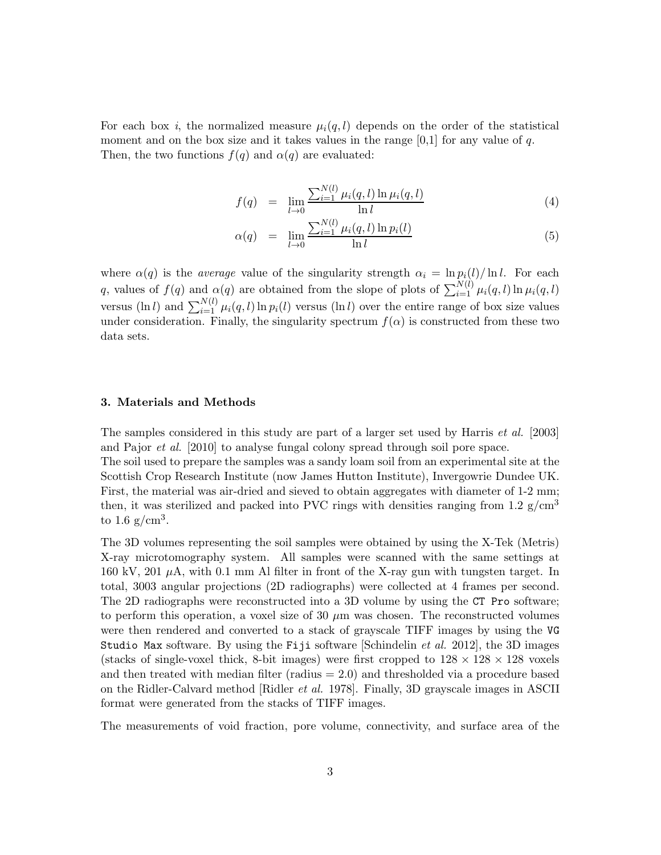For each box *i*, the normalized measure  $\mu_i(q, l)$  depends on the order of the statistical moment and on the box size and it takes values in the range  $[0,1]$  for any value of q. Then, the two functions  $f(q)$  and  $\alpha(q)$  are evaluated:

$$
f(q) = \lim_{l \to 0} \frac{\sum_{i=1}^{N(l)} \mu_i(q, l) \ln \mu_i(q, l)}{\ln l}
$$
 (4)

$$
\alpha(q) = \lim_{l \to 0} \frac{\sum_{i=1}^{N(l)} \mu_i(q, l) \ln p_i(l)}{\ln l}
$$
 (5)

where  $\alpha(q)$  is the *average* value of the singularity strength  $\alpha_i = \ln p_i(l)/\ln l$ . For each q, values of  $f(q)$  and  $\alpha(q)$  are obtained from the slope of plots of  $\sum_{i=1}^{N(l)} \mu_i(q, l) \ln \mu_i(q, l)$ versus (ln l) and  $\sum_{i=1}^{N(l)} \mu_i(q, l) \ln p_i(l)$  versus (ln l) over the entire range of box size values under consideration. Finally, the singularity spectrum  $f(\alpha)$  is constructed from these two data sets.

# 3. Materials and Methods

The samples considered in this study are part of a larger set used by Harris *et al.* [2003] and Pajor *et al.* [2010] to analyse fungal colony spread through soil pore space. The soil used to prepare the samples was a sandy loam soil from an experimental site at the Scottish Crop Research Institute (now James Hutton Institute), Invergowrie Dundee UK. First, the material was air-dried and sieved to obtain aggregates with diameter of 1-2 mm; then, it was sterilized and packed into PVC rings with densities ranging from 1.2  $g/cm<sup>3</sup>$ to  $1.6 \text{ g/cm}^3$ .

The 3D volumes representing the soil samples were obtained by using the X-Tek (Metris) X-ray microtomography system. All samples were scanned with the same settings at 160 kV, 201  $\mu$ A, with 0.1 mm Al filter in front of the X-ray gun with tungsten target. In total, 3003 angular projections (2D radiographs) were collected at 4 frames per second. The 2D radiographs were reconstructed into a 3D volume by using the CT Pro software; to perform this operation, a voxel size of 30  $\mu$ m was chosen. The reconstructed volumes were then rendered and converted to a stack of grayscale TIFF images by using the VG Studio Max software. By using the Fiji software [Schindelin *et al.* 2012], the 3D images (stacks of single-voxel thick, 8-bit images) were first cropped to  $128 \times 128 \times 128$  voxels and then treated with median filter (radius  $= 2.0$ ) and thresholded via a procedure based on the Ridler-Calvard method [Ridler *et al.* 1978]. Finally, 3D grayscale images in ASCII format were generated from the stacks of TIFF images.

The measurements of void fraction, pore volume, connectivity, and surface area of the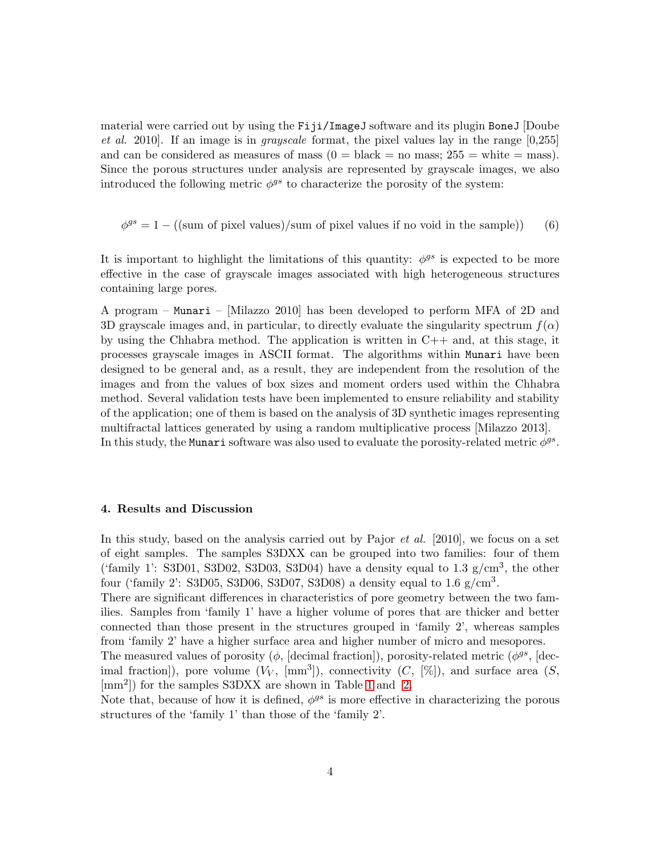material were carried out by using the Fiji/ImageJ software and its plugin BoneJ [Doube *et al.* 2010]. If an image is in *grayscale* format, the pixel values lay in the range [0,255] and can be considered as measures of mass  $(0 = \text{black} = \text{no mass}; 255 = \text{white} = \text{mass}).$ Since the porous structures under analysis are represented by grayscale images, we also introduced the following metric  $\phi^{gs}$  to characterize the porosity of the system:

 $\phi^{gs} = 1 - ((\text{sum of pixel values})/\text{sum of pixel values if no void in the sample}))$  (6)

It is important to highlight the limitations of this quantity:  $\phi^{gs}$  is expected to be more effective in the case of grayscale images associated with high heterogeneous structures containing large pores.

A program – Munari – [Milazzo 2010] has been developed to perform MFA of 2D and 3D grayscale images and, in particular, to directly evaluate the singularity spectrum  $f(\alpha)$ by using the Chhabra method. The application is written in  $C++$  and, at this stage, it processes grayscale images in ASCII format. The algorithms within Munari have been designed to be general and, as a result, they are independent from the resolution of the images and from the values of box sizes and moment orders used within the Chhabra method. Several validation tests have been implemented to ensure reliability and stability of the application; one of them is based on the analysis of 3D synthetic images representing multifractal lattices generated by using a random multiplicative process [Milazzo 2013]. In this study, the Munari software was also used to evaluate the porosity-related metric  $\phi^{gs}$ .

### 4. Results and Discussion

In this study, based on the analysis carried out by Pajor *et al.* [2010], we focus on a set of eight samples. The samples S3DXX can be grouped into two families: four of them ('family 1': S3D01, S3D02, S3D03, S3D04) have a density equal to 1.3  $g/cm^3$ , the other four ('family 2': S3D05, S3D06, S3D07, S3D08) a density equal to  $1.6 \text{ g/cm}^3$ .

There are significant differences in characteristics of pore geometry between the two families. Samples from 'family 1' have a higher volume of pores that are thicker and better connected than those present in the structures grouped in 'family 2', whereas samples from 'family 2' have a higher surface area and higher number of micro and mesopores.

The measured values of porosity ( $\phi$ , [decimal fraction]), porosity-related metric ( $\phi^{gs}$ , [decimal fraction]), pore volume  $(V_V, \text{ [mm}^3])$ , connectivity  $(C, [\%])$ , and surface area  $(S, \text{]}$ [mm<sup>2</sup> ]) for the samples S3DXX are shown in Table [1](#page-4-0) and [2.](#page-4-1)

Note that, because of how it is defined,  $\phi^{gs}$  is more effective in characterizing the porous structures of the 'family 1' than those of the 'family 2'.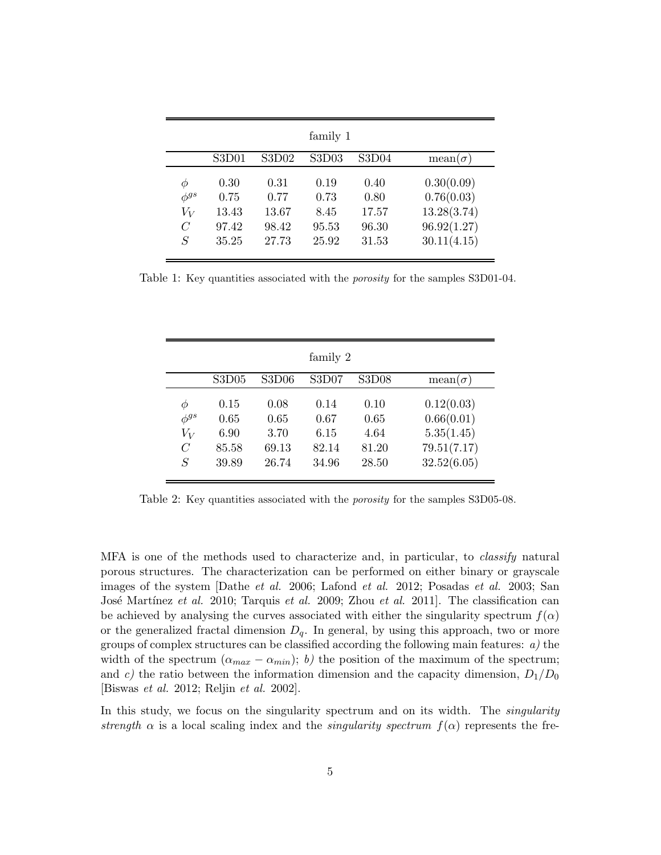|                | family 1 |       |       |       |                |  |  |  |  |
|----------------|----------|-------|-------|-------|----------------|--|--|--|--|
|                | S3D01    | S3D02 | S3D03 | S3D04 | $mean(\sigma)$ |  |  |  |  |
| Φ              | 0.30     | 0.31  | 0.19  | 0.40  | 0.30(0.09)     |  |  |  |  |
| $\phi^{gs}$    | 0.75     | 0.77  | 0.73  | 0.80  | 0.76(0.03)     |  |  |  |  |
| $V_V$          | 13.43    | 13.67 | 8.45  | 17.57 | 13.28(3.74)    |  |  |  |  |
| $\overline{C}$ | 97.42    | 98.42 | 95.53 | 96.30 | 96.92(1.27)    |  |  |  |  |
| S              | 35.25    | 27.73 | 25.92 | 31.53 | 30.11(4.15)    |  |  |  |  |

<span id="page-4-0"></span>Table 1: Key quantities associated with the *porosity* for the samples S3D01-04.

|                                                  | family 2                               |                                        |                                        |                                        |                                                                      |  |  |  |  |
|--------------------------------------------------|----------------------------------------|----------------------------------------|----------------------------------------|----------------------------------------|----------------------------------------------------------------------|--|--|--|--|
|                                                  | S3D05                                  | S3D06                                  | S3D07                                  | S3D08                                  | mean( $\sigma$ )                                                     |  |  |  |  |
| Ф<br>$\phi^{gs}$<br>$V_V$<br>$\overline{C}$<br>S | 0.15<br>0.65<br>6.90<br>85.58<br>39.89 | 0.08<br>0.65<br>3.70<br>69.13<br>26.74 | 0.14<br>0.67<br>6.15<br>82.14<br>34.96 | 0.10<br>0.65<br>4.64<br>81.20<br>28.50 | 0.12(0.03)<br>0.66(0.01)<br>5.35(1.45)<br>79.51(7.17)<br>32.52(6.05) |  |  |  |  |

<span id="page-4-1"></span>Table 2: Key quantities associated with the *porosity* for the samples S3D05-08.

MFA is one of the methods used to characterize and, in particular, to *classify* natural porous structures. The characterization can be performed on either binary or grayscale images of the system [Dathe *et al.* 2006; Lafond *et al.* 2012; Posadas *et al.* 2003; San José Martínez *et al.* 2010; Tarquis *et al.* 2009; Zhou *et al.* 2011]. The classification can be achieved by analysing the curves associated with either the singularity spectrum  $f(\alpha)$ or the generalized fractal dimension  $D_q$ . In general, by using this approach, two or more groups of complex structures can be classified according the following main features: *a)* the width of the spectrum  $(\alpha_{max} - \alpha_{min}); b)$  the position of the maximum of the spectrum; and c) the ratio between the information dimension and the capacity dimension,  $D_1/D_0$ [Biswas *et al.* 2012; Reljin *et al.* 2002].

In this study, we focus on the singularity spectrum and on its width. The *singularity strength*  $\alpha$  is a local scaling index and the *singularity spectrum*  $f(\alpha)$  represents the fre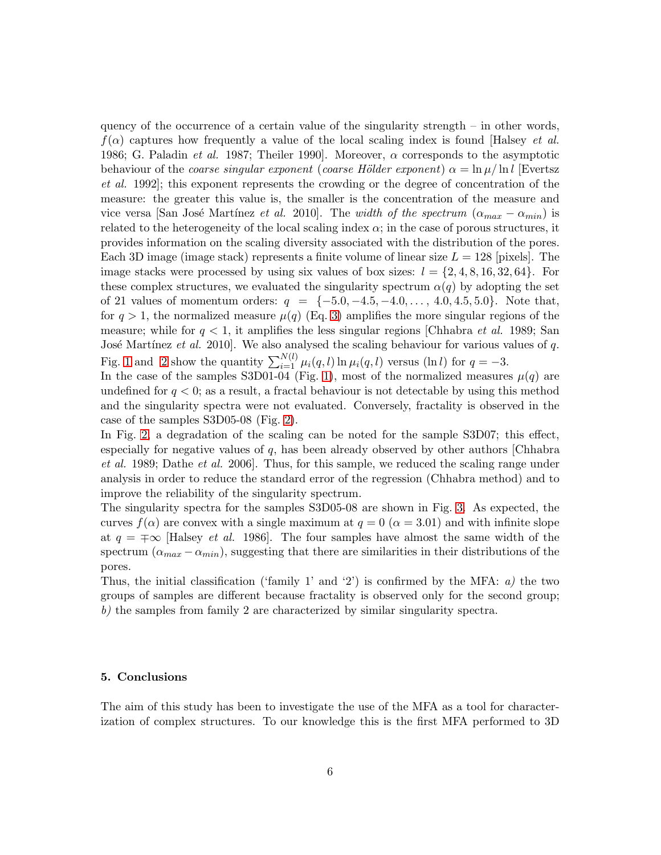quency of the occurrence of a certain value of the singularity strength – in other words,  $f(\alpha)$  captures how frequently a value of the local scaling index is found [Halsey *et al.*] 1986; G. Paladin *et al.* 1987; Theiler 1990]. Moreover,  $\alpha$  corresponds to the asymptotic behaviour of the *coarse singular exponent* (*coarse Hölder exponent*)  $\alpha = \ln \mu / \ln l$  [Evertsz *et al.* 1992]; this exponent represents the crowding or the degree of concentration of the measure: the greater this value is, the smaller is the concentration of the measure and vice versa [San José Martínez *et al.* 2010]. The *width of the spectrum* ( $\alpha_{max} - \alpha_{min}$ ) is related to the heterogeneity of the local scaling index  $\alpha$ ; in the case of porous structures, it provides information on the scaling diversity associated with the distribution of the pores. Each 3D image (image stack) represents a finite volume of linear size  $L = 128$  [pixels]. The image stacks were processed by using six values of box sizes:  $l = \{2, 4, 8, 16, 32, 64\}$ . For these complex structures, we evaluated the singularity spectrum  $\alpha(q)$  by adopting the set of 21 values of momentum orders:  $q = \{-5.0, -4.5, -4.0, \ldots, 4.0, 4.5, 5.0\}$ . Note that, for  $q > 1$ , the normalized measure  $\mu(q)$  (Eq. [3\)](#page-1-0) amplifies the more singular regions of the measure; while for q < 1, it amplifies the less singular regions [Chhabra *et al.* 1989; San José Martínez *et al.* 2010]. We also analysed the scaling behaviour for various values of q. Fig. [1](#page-9-0) and [2](#page-9-1) show the quantity  $\sum_{i=1}^{N(l)} \mu_i(q, l) \ln \mu_i(q, l)$  versus (ln l) for  $q = -3$ .

In the case of the samples S3D01-04 (Fig. [1\)](#page-9-0), most of the normalized measures  $\mu(q)$  are undefined for  $q < 0$ ; as a result, a fractal behaviour is not detectable by using this method and the singularity spectra were not evaluated. Conversely, fractality is observed in the case of the samples S3D05-08 (Fig. [2\)](#page-9-1).

In Fig. [2,](#page-9-1) a degradation of the scaling can be noted for the sample S3D07; this effect, especially for negative values of  $q$ , has been already observed by other authors [Chhabra *et al.* 1989; Dathe *et al.* 2006]. Thus, for this sample, we reduced the scaling range under analysis in order to reduce the standard error of the regression (Chhabra method) and to improve the reliability of the singularity spectrum.

The singularity spectra for the samples S3D05-08 are shown in Fig. [3.](#page-10-0) As expected, the curves  $f(\alpha)$  are convex with a single maximum at  $q = 0$  ( $\alpha = 3.01$ ) and with infinite slope at  $q = \pm \infty$  [Halsey *et al.* 1986]. The four samples have almost the same width of the spectrum  $(\alpha_{max} - \alpha_{min})$ , suggesting that there are similarities in their distributions of the pores.

Thus, the initial classification ('family 1' and '2') is confirmed by the MFA: *a)* the two groups of samples are different because fractality is observed only for the second group; *b)* the samples from family 2 are characterized by similar singularity spectra.

### 5. Conclusions

The aim of this study has been to investigate the use of the MFA as a tool for characterization of complex structures. To our knowledge this is the first MFA performed to 3D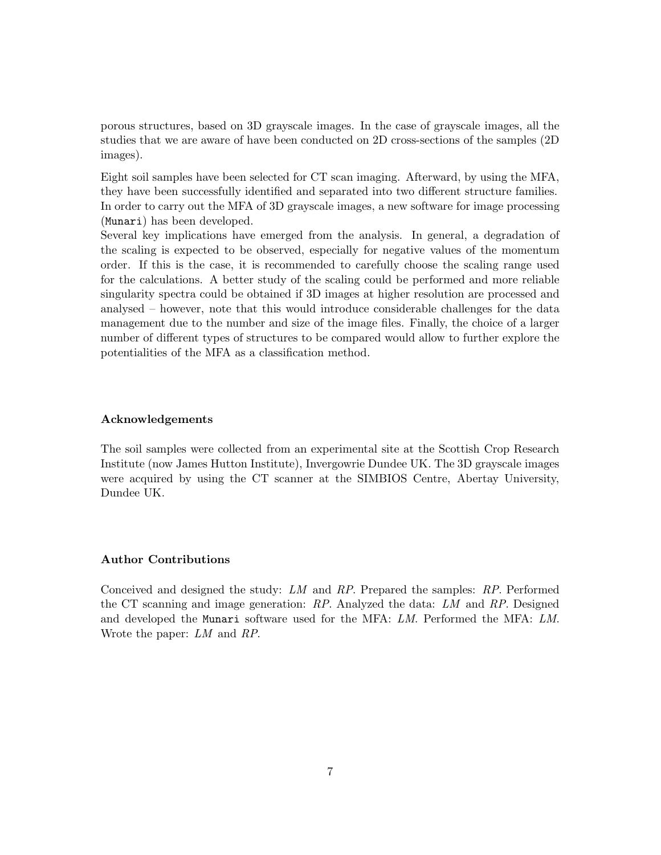porous structures, based on 3D grayscale images. In the case of grayscale images, all the studies that we are aware of have been conducted on 2D cross-sections of the samples (2D images).

Eight soil samples have been selected for CT scan imaging. Afterward, by using the MFA, they have been successfully identified and separated into two different structure families. In order to carry out the MFA of 3D grayscale images, a new software for image processing (Munari) has been developed.

Several key implications have emerged from the analysis. In general, a degradation of the scaling is expected to be observed, especially for negative values of the momentum order. If this is the case, it is recommended to carefully choose the scaling range used for the calculations. A better study of the scaling could be performed and more reliable singularity spectra could be obtained if 3D images at higher resolution are processed and analysed – however, note that this would introduce considerable challenges for the data management due to the number and size of the image files. Finally, the choice of a larger number of different types of structures to be compared would allow to further explore the potentialities of the MFA as a classification method.

### Acknowledgements

The soil samples were collected from an experimental site at the Scottish Crop Research Institute (now James Hutton Institute), Invergowrie Dundee UK. The 3D grayscale images were acquired by using the CT scanner at the SIMBIOS Centre, Abertay University, Dundee UK.

## Author Contributions

Conceived and designed the study: *LM* and *RP*. Prepared the samples: *RP*. Performed the CT scanning and image generation: *RP*. Analyzed the data: *LM* and *RP*. Designed and developed the Munari software used for the MFA: *LM*. Performed the MFA: *LM*. Wrote the paper: *LM* and *RP*.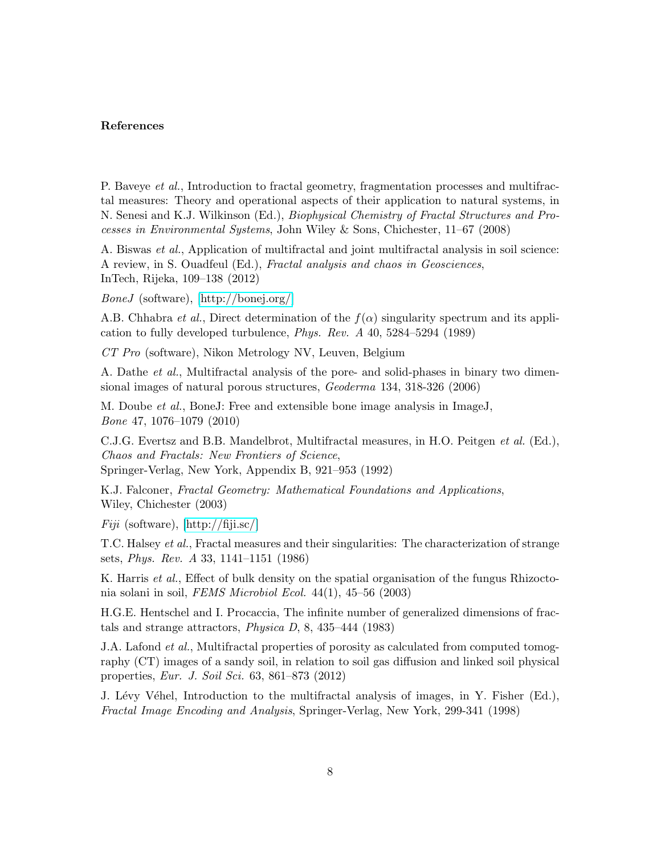## References

P. Baveye *et al.*, Introduction to fractal geometry, fragmentation processes and multifractal measures: Theory and operational aspects of their application to natural systems, in N. Senesi and K.J. Wilkinson (Ed.), *Biophysical Chemistry of Fractal Structures and Processes in Environmental Systems*, John Wiley & Sons, Chichester, 11–67 (2008)

A. Biswas *et al.*, Application of multifractal and joint multifractal analysis in soil science: A review, in S. Ouadfeul (Ed.), *Fractal analysis and chaos in Geosciences*, InTech, Rijeka, 109–138 (2012)

*BoneJ* (software), [\[http://bonej.org/\]](http://bonej.org/)

A.B. Chhabra *et al.*, Direct determination of the  $f(\alpha)$  singularity spectrum and its application to fully developed turbulence, *Phys. Rev. A* 40, 5284–5294 (1989)

*CT Pro* (software), Nikon Metrology NV, Leuven, Belgium

A. Dathe *et al.*, Multifractal analysis of the pore- and solid-phases in binary two dimensional images of natural porous structures, *Geoderma* 134, 318-326 (2006)

M. Doube *et al.*, BoneJ: Free and extensible bone image analysis in ImageJ, *Bone* 47, 1076–1079 (2010)

C.J.G. Evertsz and B.B. Mandelbrot, Multifractal measures, in H.O. Peitgen *et al.* (Ed.), *Chaos and Fractals: New Frontiers of Science*,

Springer-Verlag, New York, Appendix B, 921–953 (1992)

K.J. Falconer, *Fractal Geometry: Mathematical Foundations and Applications*, Wiley, Chichester (2003)

*Fiji* (software), [\[http://fiji.sc/\]](http://fiji.sc/)

T.C. Halsey *et al.*, Fractal measures and their singularities: The characterization of strange sets, *Phys. Rev. A* 33, 1141–1151 (1986)

K. Harris *et al.*, Effect of bulk density on the spatial organisation of the fungus Rhizoctonia solani in soil, *FEMS Microbiol Ecol.* 44(1), 45–56 (2003)

H.G.E. Hentschel and I. Procaccia, The infinite number of generalized dimensions of fractals and strange attractors, *Physica D*, 8, 435–444 (1983)

J.A. Lafond *et al.*, Multifractal properties of porosity as calculated from computed tomography (CT) images of a sandy soil, in relation to soil gas diffusion and linked soil physical properties, *Eur. J. Soil Sci.* 63, 861–873 (2012)

J. Lévy Véhel, Introduction to the multifractal analysis of images, in Y. Fisher (Ed.), *Fractal Image Encoding and Analysis*, Springer-Verlag, New York, 299-341 (1998)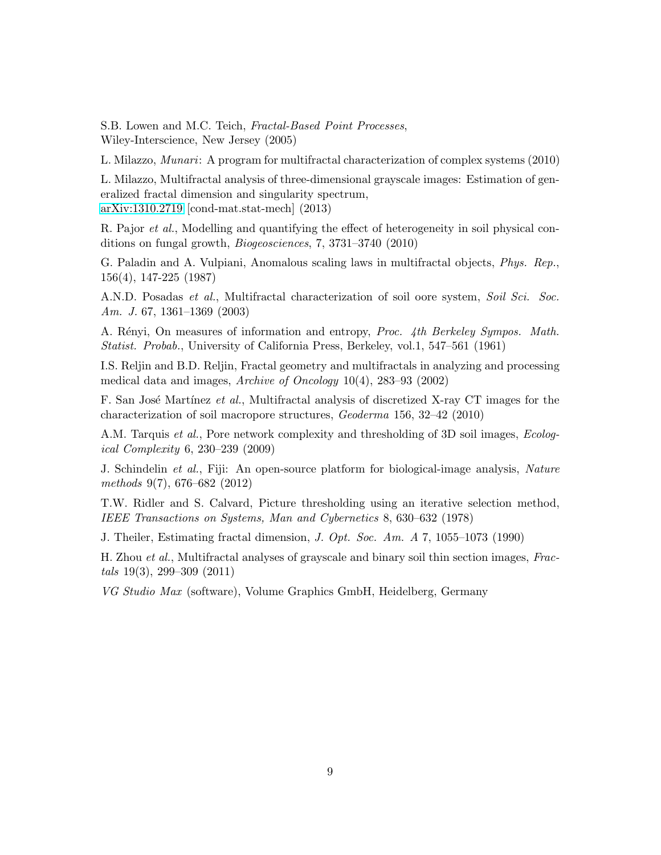S.B. Lowen and M.C. Teich, *Fractal-Based Point Processes*, Wiley-Interscience, New Jersey (2005)

L. Milazzo, *Munari*: A program for multifractal characterization of complex systems (2010)

L. Milazzo, Multifractal analysis of three-dimensional grayscale images: Estimation of generalized fractal dimension and singularity spectrum, [arXiv:1310.2719](http://arxiv.org/abs/1310.2719) [cond-mat.stat-mech] (2013)

R. Pajor *et al.*, Modelling and quantifying the effect of heterogeneity in soil physical conditions on fungal growth, *Biogeosciences*, 7, 3731–3740 (2010)

G. Paladin and A. Vulpiani, Anomalous scaling laws in multifractal objects, *Phys. Rep.*, 156(4), 147-225 (1987)

A.N.D. Posadas *et al.*, Multifractal characterization of soil oore system, *Soil Sci. Soc. Am. J.* 67, 1361–1369 (2003)

A. Rényi, On measures of information and entropy, *Proc. 4th Berkeley Sympos. Math. Statist. Probab.*, University of California Press, Berkeley, vol.1, 547–561 (1961)

I.S. Reljin and B.D. Reljin, Fractal geometry and multifractals in analyzing and processing medical data and images, *Archive of Oncology* 10(4), 283–93 (2002)

F. San José Martínez *et al.*, Multifractal analysis of discretized X-ray CT images for the characterization of soil macropore structures, *Geoderma* 156, 32–42 (2010)

A.M. Tarquis *et al.*, Pore network complexity and thresholding of 3D soil images, *Ecological Complexity* 6, 230–239 (2009)

J. Schindelin *et al.*, Fiji: An open-source platform for biological-image analysis, *Nature methods* 9(7), 676–682 (2012)

T.W. Ridler and S. Calvard, Picture thresholding using an iterative selection method, *IEEE Transactions on Systems, Man and Cybernetics* 8, 630–632 (1978)

J. Theiler, Estimating fractal dimension, *J. Opt. Soc. Am. A* 7, 1055–1073 (1990)

H. Zhou *et al.*, Multifractal analyses of grayscale and binary soil thin section images, *Fractals* 19(3), 299–309 (2011)

*VG Studio Max* (software), Volume Graphics GmbH, Heidelberg, Germany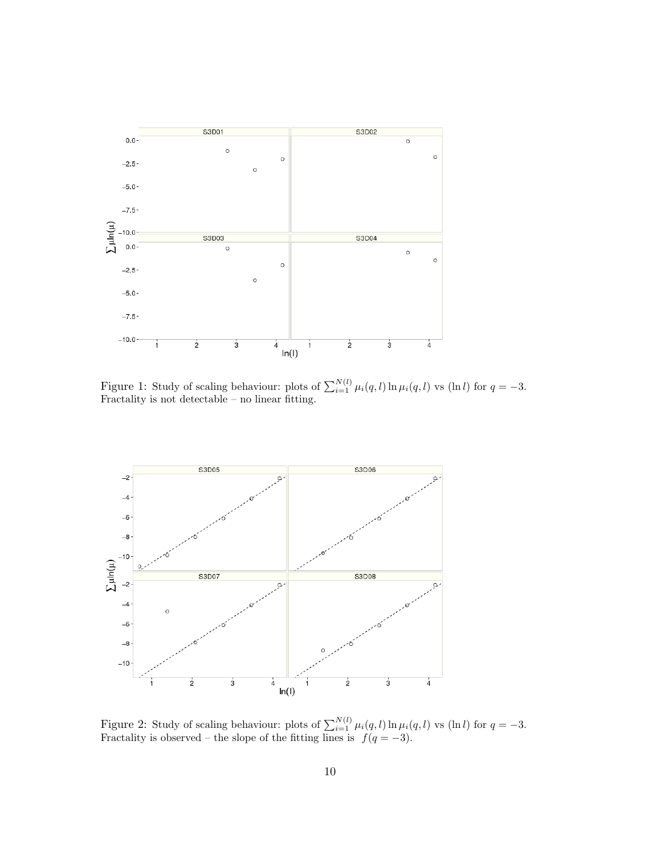

<span id="page-9-0"></span>Figure 1: Study of scaling behaviour: plots of  $\sum_{i=1}^{N(l)} \mu_i(q, l) \ln \mu_i(q, l)$  vs (ln l) for  $q = -3$ . Fractality is not detectable – no linear fitting.



<span id="page-9-1"></span>Figure 2: Study of scaling behaviour: plots of  $\sum_{i=1}^{N(l)} \mu_i(q, l) \ln \mu_i(q, l)$  vs (ln l) for  $q = -3$ . Fractality is observed – the slope of the fitting lines is  $f(q = -3)$ .